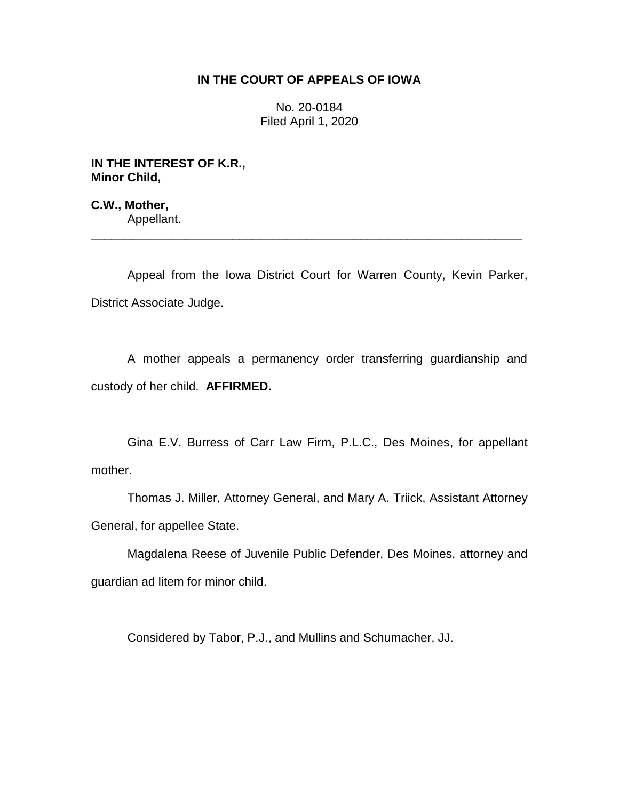## **IN THE COURT OF APPEALS OF IOWA**

No. 20-0184 Filed April 1, 2020

**IN THE INTEREST OF K.R., Minor Child,**

**C.W., Mother,** Appellant.

Appeal from the Iowa District Court for Warren County, Kevin Parker, District Associate Judge.

\_\_\_\_\_\_\_\_\_\_\_\_\_\_\_\_\_\_\_\_\_\_\_\_\_\_\_\_\_\_\_\_\_\_\_\_\_\_\_\_\_\_\_\_\_\_\_\_\_\_\_\_\_\_\_\_\_\_\_\_\_\_\_\_

A mother appeals a permanency order transferring guardianship and custody of her child. **AFFIRMED.** 

Gina E.V. Burress of Carr Law Firm, P.L.C., Des Moines, for appellant mother.

Thomas J. Miller, Attorney General, and Mary A. Triick, Assistant Attorney General, for appellee State.

Magdalena Reese of Juvenile Public Defender, Des Moines, attorney and guardian ad litem for minor child.

Considered by Tabor, P.J., and Mullins and Schumacher, JJ.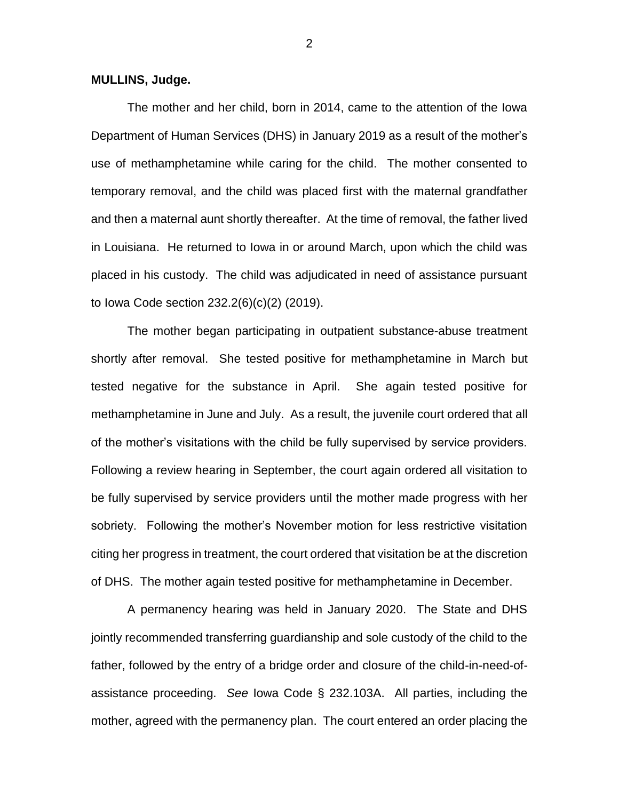**MULLINS, Judge.**

The mother and her child, born in 2014, came to the attention of the Iowa Department of Human Services (DHS) in January 2019 as a result of the mother's use of methamphetamine while caring for the child. The mother consented to temporary removal, and the child was placed first with the maternal grandfather and then a maternal aunt shortly thereafter. At the time of removal, the father lived in Louisiana. He returned to Iowa in or around March, upon which the child was placed in his custody. The child was adjudicated in need of assistance pursuant to Iowa Code section 232.2(6)(c)(2) (2019).

The mother began participating in outpatient substance-abuse treatment shortly after removal. She tested positive for methamphetamine in March but tested negative for the substance in April. She again tested positive for methamphetamine in June and July. As a result, the juvenile court ordered that all of the mother's visitations with the child be fully supervised by service providers. Following a review hearing in September, the court again ordered all visitation to be fully supervised by service providers until the mother made progress with her sobriety. Following the mother's November motion for less restrictive visitation citing her progress in treatment, the court ordered that visitation be at the discretion of DHS. The mother again tested positive for methamphetamine in December.

A permanency hearing was held in January 2020. The State and DHS jointly recommended transferring guardianship and sole custody of the child to the father, followed by the entry of a bridge order and closure of the child-in-need-ofassistance proceeding. *See* Iowa Code § 232.103A. All parties, including the mother, agreed with the permanency plan. The court entered an order placing the

2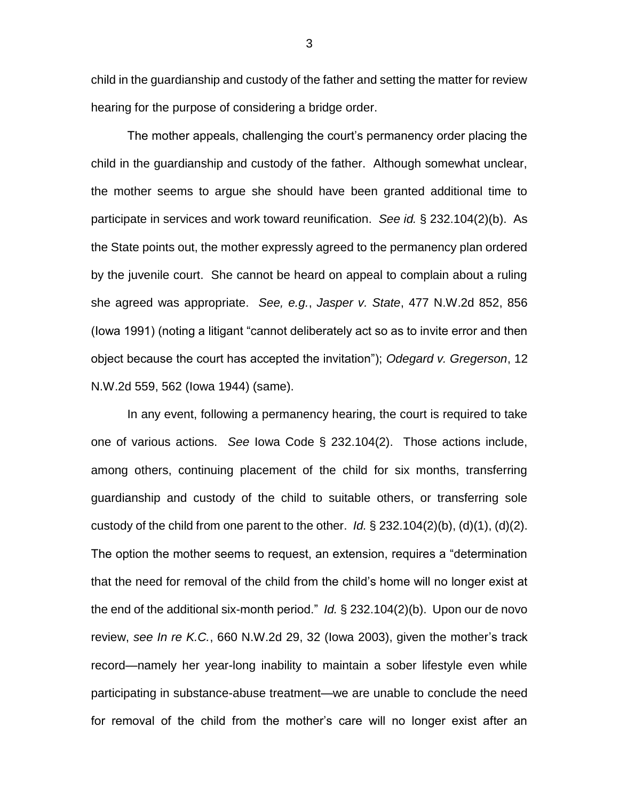child in the guardianship and custody of the father and setting the matter for review hearing for the purpose of considering a bridge order.

The mother appeals, challenging the court's permanency order placing the child in the guardianship and custody of the father. Although somewhat unclear, the mother seems to argue she should have been granted additional time to participate in services and work toward reunification. *See id.* § 232.104(2)(b). As the State points out, the mother expressly agreed to the permanency plan ordered by the juvenile court. She cannot be heard on appeal to complain about a ruling she agreed was appropriate. *See, e.g.*, *Jasper v. State*, 477 N.W.2d 852, 856 (Iowa 1991) (noting a litigant "cannot deliberately act so as to invite error and then object because the court has accepted the invitation"); *Odegard v. Gregerson*, 12 N.W.2d 559, 562 (Iowa 1944) (same).

In any event, following a permanency hearing, the court is required to take one of various actions. *See* Iowa Code § 232.104(2). Those actions include, among others, continuing placement of the child for six months, transferring guardianship and custody of the child to suitable others, or transferring sole custody of the child from one parent to the other. *Id.*  $\S$  232.104(2)(b), (d)(1), (d)(2). The option the mother seems to request, an extension, requires a "determination that the need for removal of the child from the child's home will no longer exist at the end of the additional six-month period." *Id.* § 232.104(2)(b). Upon our de novo review, *see In re K.C.*, 660 N.W.2d 29, 32 (Iowa 2003), given the mother's track record—namely her year-long inability to maintain a sober lifestyle even while participating in substance-abuse treatment—we are unable to conclude the need for removal of the child from the mother's care will no longer exist after an